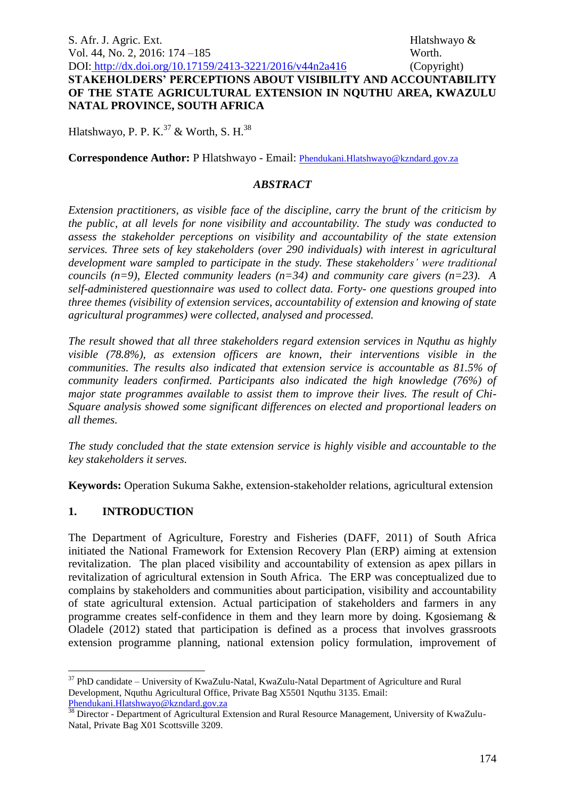S. Afr. J. Agric. Ext. **Ext.** And **Ext.** And **Ext.** Hlatshwayo & **Hlatshwayo &** Vol. 44, No. 2, 2016: 174 –185 Worth. DOI: http://dx.doi.org/10.17159/2413-3221/2016/v44n2a416 (Copyright) **STAKEHOLDERS' PERCEPTIONS ABOUT VISIBILITY AND ACCOUNTABILITY OF THE STATE AGRICULTURAL EXTENSION IN NQUTHU AREA, KWAZULU NATAL PROVINCE, SOUTH AFRICA**

Hlatshwayo, P. P. K.<sup>37</sup> & Worth, S. H.<sup>38</sup>

**Correspondence Author:** P Hlatshwayo - Email: [Phendukani.Hlatshwayo@kzndard.gov.za](mailto:Phendukani.Hlatshwayo@kzndard.gov.za)

#### *ABSTRACT*

*Extension practitioners, as visible face of the discipline, carry the brunt of the criticism by the public, at all levels for none visibility and accountability. The study was conducted to assess the stakeholder perceptions on visibility and accountability of the state extension services. Three sets of key stakeholders (over 290 individuals) with interest in agricultural development ware sampled to participate in the study. These stakeholders' were traditional councils (n=9), Elected community leaders (n=34) and community care givers (n=23). A self-administered questionnaire was used to collect data. Forty- one questions grouped into three themes (visibility of extension services, accountability of extension and knowing of state agricultural programmes) were collected, analysed and processed.*

*The result showed that all three stakeholders regard extension services in Nquthu as highly visible (78.8%), as extension officers are known, their interventions visible in the communities. The results also indicated that extension service is accountable as 81.5% of community leaders confirmed. Participants also indicated the high knowledge (76%) of major state programmes available to assist them to improve their lives. The result of Chi-Square analysis showed some significant differences on elected and proportional leaders on all themes.* 

*The study concluded that the state extension service is highly visible and accountable to the key stakeholders it serves.* 

**Keywords:** Operation Sukuma Sakhe, extension-stakeholder relations, agricultural extension

### **1. INTRODUCTION**

<u>.</u>

The Department of Agriculture, Forestry and Fisheries (DAFF, 2011) of South Africa initiated the National Framework for Extension Recovery Plan (ERP) aiming at extension revitalization. The plan placed visibility and accountability of extension as apex pillars in revitalization of agricultural extension in South Africa. The ERP was conceptualized due to complains by stakeholders and communities about participation, visibility and accountability of state agricultural extension. Actual participation of stakeholders and farmers in any programme creates self-confidence in them and they learn more by doing. Kgosiemang & Oladele (2012) stated that participation is defined as a process that involves grassroots extension programme planning, national extension policy formulation, improvement of

<sup>&</sup>lt;sup>37</sup> PhD candidate – University of KwaZulu-Natal, KwaZulu-Natal Department of Agriculture and Rural Development, Nquthu Agricultural Office, Private Bag X5501 Nquthu 3135. Email: [Phendukani.Hlatshwayo@kzndard.gov.za](mailto:Phendukani.Hlatshwayo@kzndard.gov.za)

<sup>&</sup>lt;sup>38</sup> Director - Department of Agricultural Extension and Rural Resource Management, University of KwaZulu-Natal, Private Bag X01 Scottsville 3209.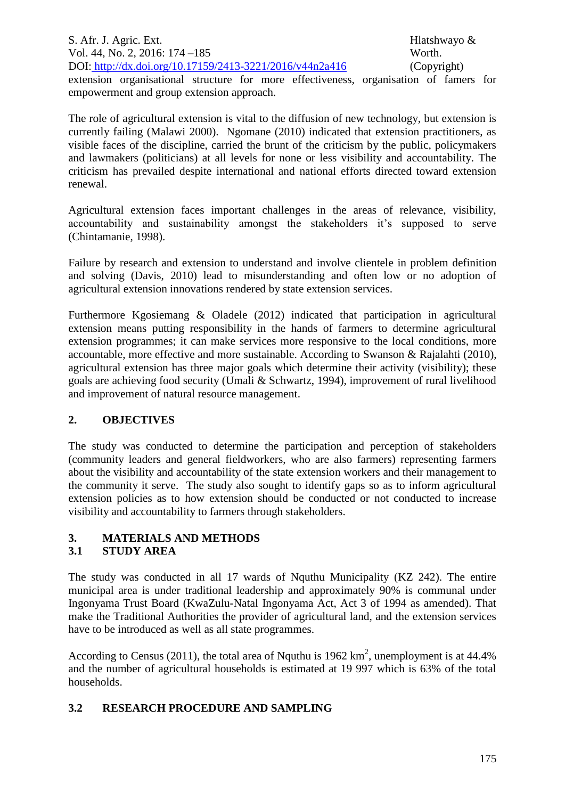S. Afr. J. Agric. Ext. **Ext.** And **Ext.** And **Ext.** Hlatshwayo & **Hlatshwayo &** Vol. 44, No. 2, 2016: 174 – 185 Worth. DOI: http://dx.doi.org/10.17159/2413-3221/2016/v44n2a416 (Copyright)

extension organisational structure for more effectiveness, organisation of famers for empowerment and group extension approach.

The role of agricultural extension is vital to the diffusion of new technology, but extension is currently failing (Malawi 2000). Ngomane (2010) indicated that extension practitioners, as visible faces of the discipline, carried the brunt of the criticism by the public, policymakers and lawmakers (politicians) at all levels for none or less visibility and accountability. The criticism has prevailed despite international and national efforts directed toward extension renewal.

Agricultural extension faces important challenges in the areas of relevance, visibility, accountability and sustainability amongst the stakeholders it's supposed to serve (Chintamanie, 1998).

Failure by research and extension to understand and involve clientele in problem definition and solving (Davis, 2010) lead to misunderstanding and often low or no adoption of agricultural extension innovations rendered by state extension services.

Furthermore Kgosiemang & Oladele (2012) indicated that participation in agricultural extension means putting responsibility in the hands of farmers to determine agricultural extension programmes; it can make services more responsive to the local conditions, more accountable, more effective and more sustainable. According to Swanson & Rajalahti (2010), agricultural extension has three major goals which determine their activity (visibility); these goals are achieving food security (Umali & Schwartz, 1994), improvement of rural livelihood and improvement of natural resource management.

# **2. OBJECTIVES**

The study was conducted to determine the participation and perception of stakeholders (community leaders and general fieldworkers, who are also farmers) representing farmers about the visibility and accountability of the state extension workers and their management to the community it serve. The study also sought to identify gaps so as to inform agricultural extension policies as to how extension should be conducted or not conducted to increase visibility and accountability to farmers through stakeholders.

# **3. MATERIALS AND METHODS**

### **3.1 STUDY AREA**

The study was conducted in all 17 wards of Nquthu Municipality (KZ 242). The entire municipal area is under traditional leadership and approximately 90% is communal under Ingonyama Trust Board (KwaZulu-Natal Ingonyama Act, Act 3 of 1994 as amended). That make the Traditional Authorities the provider of agricultural land, and the extension services have to be introduced as well as all state programmes.

According to Census (2011), the total area of Nquthu is 1962  $\text{km}^2$ , unemployment is at 44.4% and the number of agricultural households is estimated at 19 997 which is 63% of the total households.

# **3.2 RESEARCH PROCEDURE AND SAMPLING**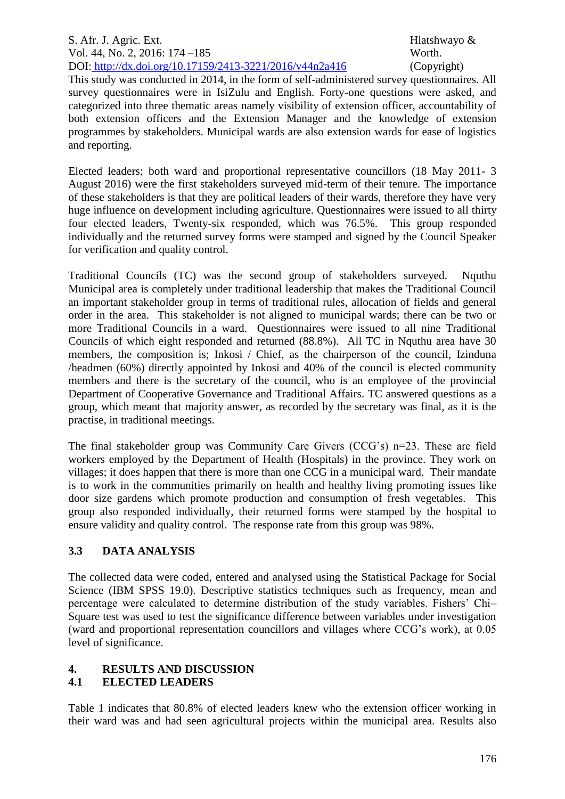#### S. Afr. J. Agric. Ext. **Ext.** And **Ext.** And **Ext.** Hlatshwayo & **Hlatshwayo &** Vol. 44, No. 2, 2016: 174 – 185 Worth. DOI: http://dx.doi.org/10.17159/2413-3221/2016/v44n2a416 (Copyright)

This study was conducted in 2014, in the form of self-administered survey questionnaires. All survey questionnaires were in IsiZulu and English. Forty-one questions were asked, and categorized into three thematic areas namely visibility of extension officer, accountability of both extension officers and the Extension Manager and the knowledge of extension programmes by stakeholders. Municipal wards are also extension wards for ease of logistics and reporting.

Elected leaders; both ward and proportional representative councillors (18 May 2011- 3 August 2016) were the first stakeholders surveyed mid-term of their tenure. The importance of these stakeholders is that they are political leaders of their wards, therefore they have very huge influence on development including agriculture. Questionnaires were issued to all thirty four elected leaders, Twenty-six responded, which was 76.5%. This group responded individually and the returned survey forms were stamped and signed by the Council Speaker for verification and quality control.

Traditional Councils (TC) was the second group of stakeholders surveyed. Nquthu Municipal area is completely under traditional leadership that makes the Traditional Council an important stakeholder group in terms of traditional rules, allocation of fields and general order in the area. This stakeholder is not aligned to municipal wards; there can be two or more Traditional Councils in a ward. Questionnaires were issued to all nine Traditional Councils of which eight responded and returned (88.8%). All TC in Nquthu area have 30 members, the composition is; Inkosi / Chief, as the chairperson of the council, Izinduna /headmen (60%) directly appointed by Inkosi and 40% of the council is elected community members and there is the secretary of the council, who is an employee of the provincial Department of Cooperative Governance and Traditional Affairs. TC answered questions as a group, which meant that majority answer, as recorded by the secretary was final, as it is the practise, in traditional meetings.

The final stakeholder group was Community Care Givers (CCG's) n=23. These are field workers employed by the Department of Health (Hospitals) in the province. They work on villages; it does happen that there is more than one CCG in a municipal ward. Their mandate is to work in the communities primarily on health and healthy living promoting issues like door size gardens which promote production and consumption of fresh vegetables. This group also responded individually, their returned forms were stamped by the hospital to ensure validity and quality control. The response rate from this group was 98%.

# **3.3 DATA ANALYSIS**

The collected data were coded, entered and analysed using the Statistical Package for Social Science (IBM SPSS 19.0). Descriptive statistics techniques such as frequency, mean and percentage were calculated to determine distribution of the study variables. Fishers' Chi– Square test was used to test the significance difference between variables under investigation (ward and proportional representation councillors and villages where CCG's work), at 0.05 level of significance.

# **4. RESULTS AND DISCUSSION**

# **4.1 ELECTED LEADERS**

Table 1 indicates that 80.8% of elected leaders knew who the extension officer working in their ward was and had seen agricultural projects within the municipal area. Results also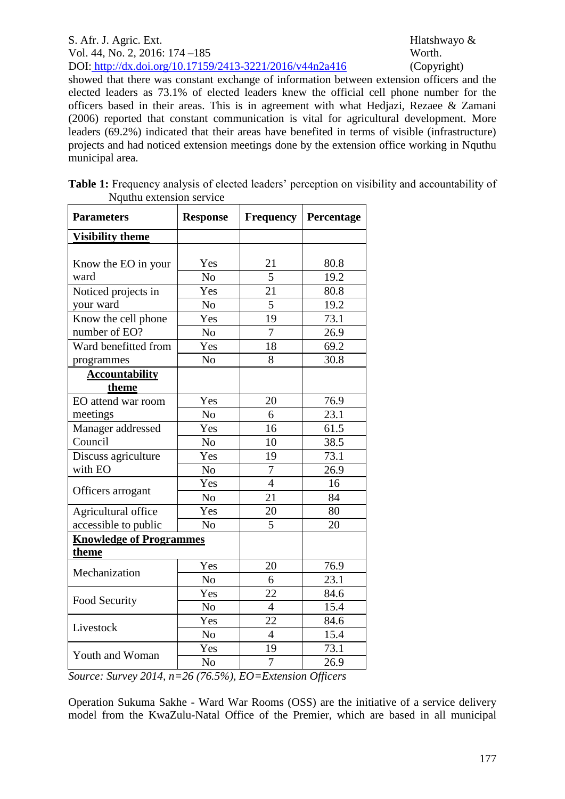#### S. Afr. J. Agric. Ext. Hlatshwayo & Vol. 44, No. 2, 2016: 174 –185 Worth. DOI: http://dx.doi.org/10.17159/2413-3221/2016/v44n2a416 (Copyright)

showed that there was constant exchange of information between extension officers and the elected leaders as 73.1% of elected leaders knew the official cell phone number for the officers based in their areas. This is in agreement with what Hedjazi, Rezaee & Zamani (2006) reported that constant communication is vital for agricultural development. More leaders (69.2%) indicated that their areas have benefited in terms of visible (infrastructure) projects and had noticed extension meetings done by the extension office working in Nquthu municipal area.

| Table 1: Frequency analysis of elected leaders' perception on visibility and accountability of |  |
|------------------------------------------------------------------------------------------------|--|
| Nauthu extension service                                                                       |  |

| <b>Parameters</b>                                                                                              | <b>Response</b> | <b>Frequency</b> | Percentage         |  |  |
|----------------------------------------------------------------------------------------------------------------|-----------------|------------------|--------------------|--|--|
| <b>Visibility theme</b>                                                                                        |                 |                  |                    |  |  |
|                                                                                                                |                 |                  |                    |  |  |
| Know the EO in your                                                                                            | Yes             | 21               | 80.8               |  |  |
| ward                                                                                                           | N <sub>o</sub>  | 5                | 19.2               |  |  |
| Noticed projects in                                                                                            | Yes             | 21               | 80.8               |  |  |
| your ward                                                                                                      | N <sub>o</sub>  | $\overline{5}$   | 19.2               |  |  |
| Know the cell phone                                                                                            | Yes             | 19               | 73.1               |  |  |
| number of EO?                                                                                                  | N <sub>o</sub>  | 7                | 26.9               |  |  |
| Ward benefitted from                                                                                           | Yes             | 18               | 69.2               |  |  |
| programmes                                                                                                     | N <sub>o</sub>  | 8                | 30.8               |  |  |
| <b>Accountability</b>                                                                                          |                 |                  |                    |  |  |
| theme                                                                                                          |                 |                  |                    |  |  |
| EO attend war room                                                                                             | Yes             | 20               | 76.9               |  |  |
| meetings                                                                                                       | No              | 6                | 23.1               |  |  |
| Manager addressed                                                                                              | Yes             | 16               | 61.5               |  |  |
| Council                                                                                                        | N <sub>o</sub>  | 10               | 38.5               |  |  |
| Discuss agriculture                                                                                            | Yes             | 19               | 73.1               |  |  |
| with EO                                                                                                        | N <sub>o</sub>  | 7                | 26.9               |  |  |
|                                                                                                                | Yes             | $\overline{4}$   | 16                 |  |  |
| Officers arrogant                                                                                              | N <sub>o</sub>  | 21               | 84                 |  |  |
| Agricultural office                                                                                            | 20<br>Yes       |                  | 80                 |  |  |
| accessible to public                                                                                           | N <sub>o</sub>  | 5                | 20                 |  |  |
| <b>Knowledge of Programmes</b>                                                                                 |                 |                  |                    |  |  |
| theme                                                                                                          |                 |                  |                    |  |  |
| Mechanization                                                                                                  | Yes             | $20\,$           | 76.9               |  |  |
|                                                                                                                | N <sub>o</sub>  | 6                | 23.1               |  |  |
| Food Security                                                                                                  | Yes             | 22               | 84.6               |  |  |
|                                                                                                                | N <sub>o</sub>  | $\overline{4}$   | $\overline{1}$ 5.4 |  |  |
| Livestock                                                                                                      | Yes             | 22               | 84.6               |  |  |
|                                                                                                                | N <sub>o</sub>  | $\overline{4}$   | 15.4               |  |  |
|                                                                                                                | Yes             | 19               | 73.1               |  |  |
| Youth and Woman                                                                                                | N <sub>o</sub>  | 7                | 26.9               |  |  |
| $26(7650)$ $E_0$ $E_{\text{transion}}$ $Q_{\text{Higgs}}$<br>$S_{\text{oumas}}$ $S_{\text{umram}}$ $2014$ $n-$ |                 |                  |                    |  |  |

*Source: Survey 2014, n=26 (76.5%), EO=Extension Officers*

Operation Sukuma Sakhe - Ward War Rooms (OSS) are the initiative of a service delivery model from the KwaZulu-Natal Office of the Premier, which are based in all municipal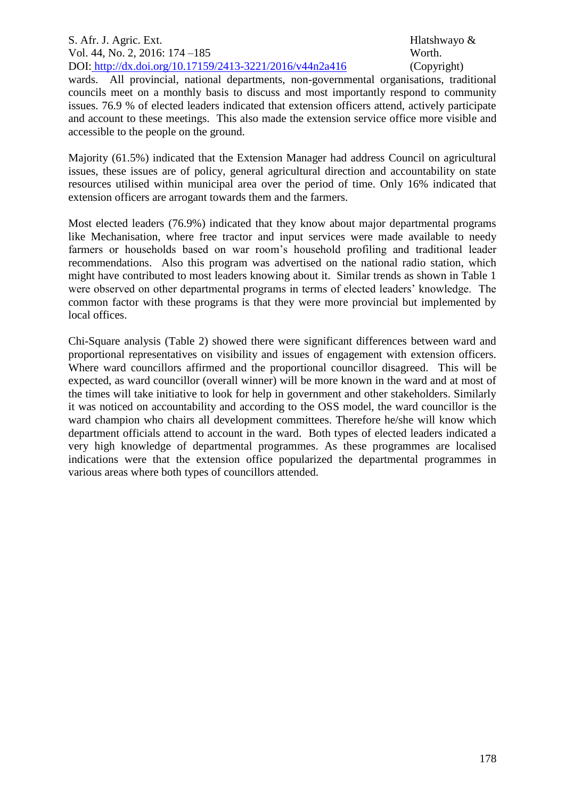#### S. Afr. J. Agric. Ext. **Ext.** And **Ext.** And **Ext.** Hlatshwayo & **Hlatshwayo &** Vol. 44, No. 2, 2016: 174 – 185 Worth. DOI: http://dx.doi.org/10.17159/2413-3221/2016/v44n2a416 (Copyright)

wards. All provincial, national departments, non-governmental organisations, traditional councils meet on a monthly basis to discuss and most importantly respond to community issues. 76.9 % of elected leaders indicated that extension officers attend, actively participate and account to these meetings. This also made the extension service office more visible and accessible to the people on the ground.

Majority (61.5%) indicated that the Extension Manager had address Council on agricultural issues, these issues are of policy, general agricultural direction and accountability on state resources utilised within municipal area over the period of time. Only 16% indicated that extension officers are arrogant towards them and the farmers.

Most elected leaders (76.9%) indicated that they know about major departmental programs like Mechanisation, where free tractor and input services were made available to needy farmers or households based on war room's household profiling and traditional leader recommendations. Also this program was advertised on the national radio station, which might have contributed to most leaders knowing about it. Similar trends as shown in Table 1 were observed on other departmental programs in terms of elected leaders' knowledge. The common factor with these programs is that they were more provincial but implemented by local offices.

Chi-Square analysis (Table 2) showed there were significant differences between ward and proportional representatives on visibility and issues of engagement with extension officers. Where ward councillors affirmed and the proportional councillor disagreed. This will be expected, as ward councillor (overall winner) will be more known in the ward and at most of the times will take initiative to look for help in government and other stakeholders. Similarly it was noticed on accountability and according to the OSS model, the ward councillor is the ward champion who chairs all development committees. Therefore he/she will know which department officials attend to account in the ward. Both types of elected leaders indicated a very high knowledge of departmental programmes. As these programmes are localised indications were that the extension office popularized the departmental programmes in various areas where both types of councillors attended.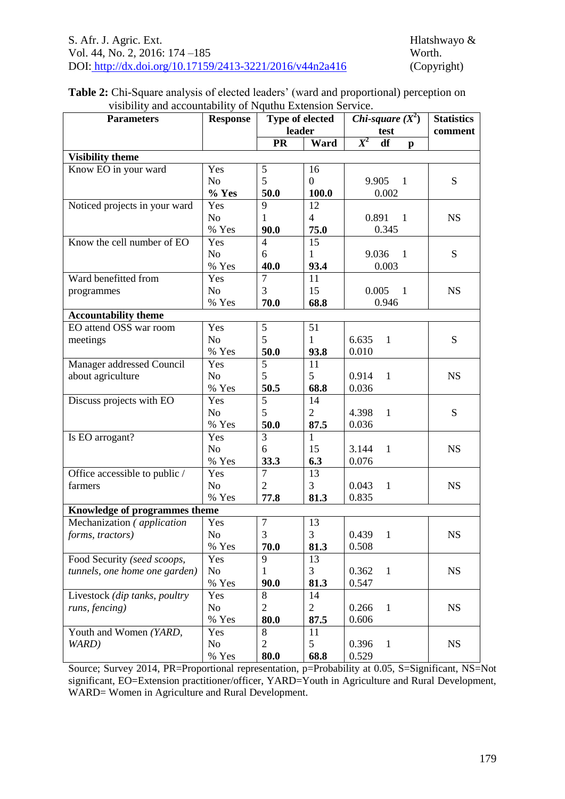### **Table 2:** Chi-Square analysis of elected leaders' (ward and proportional) perception on visibility and accountability of Nquthu Extension Service.

| <b>Parameters</b>                  | <b>Response</b> | Type of elected<br>leader |                | Chi-square $(X^2)$                  | <b>Statistics</b> |
|------------------------------------|-----------------|---------------------------|----------------|-------------------------------------|-------------------|
|                                    |                 | <b>PR</b>                 | Ward           | test<br>$X^2$<br>df<br>$\mathbf{p}$ | comment           |
| <b>Visibility theme</b>            |                 |                           |                |                                     |                   |
| Know EO in your ward               | Yes             | 5                         | 16             |                                     |                   |
|                                    | N <sub>o</sub>  | 5                         | $\overline{0}$ | 9.905<br>$\mathbf{1}$               | S                 |
|                                    | % Yes           | 50.0                      | 100.0          | 0.002                               |                   |
| Noticed projects in your ward      | Yes             | 9                         | 12             |                                     |                   |
|                                    | N <sub>o</sub>  | $\mathbf{1}$              | $\overline{4}$ | 0.891<br>$\overline{1}$             | <b>NS</b>         |
|                                    | % Yes           | 90.0                      | 75.0           | 0.345                               |                   |
| Know the cell number of EO         | Yes             | $\overline{4}$            | 15             |                                     |                   |
|                                    | N <sub>o</sub>  | 6                         | 1              | 9.036<br>$\overline{1}$             | S                 |
|                                    | % Yes           | 40.0                      | 93.4           | 0.003                               |                   |
| Ward benefitted from               | Yes             | $\overline{7}$            | 11             |                                     |                   |
| programmes                         | N <sub>o</sub>  | 3                         | 15             | 0.005<br>$\overline{1}$             | <b>NS</b>         |
|                                    | % Yes           | 70.0                      | 68.8           | 0.946                               |                   |
| <b>Accountability theme</b>        |                 |                           |                |                                     |                   |
| EO attend OSS war room             | Yes             | $\mathfrak s$             | 51             |                                     |                   |
| meetings                           | N <sub>o</sub>  | 5                         | $\mathbf{1}$   | 6.635<br>$\mathbf{1}$               | S                 |
|                                    | % Yes           | 50.0                      | 93.8           | 0.010                               |                   |
| Manager addressed Council          | Yes             | 5                         | 11             |                                     |                   |
| about agriculture                  | N <sub>o</sub>  | 5                         | 5              | $\mathbf{1}$<br>0.914               | <b>NS</b>         |
|                                    | % Yes           | 50.5                      | 68.8           | 0.036                               |                   |
| Discuss projects with EO           | Yes             | $\overline{5}$            | 14             |                                     |                   |
|                                    | N <sub>o</sub>  | 5                         | $\overline{2}$ | 4.398<br>$\mathbf{1}$               | S                 |
|                                    | % Yes           | 50.0                      | 87.5           | 0.036                               |                   |
| Is EO arrogant?                    | Yes             | 3                         | $\mathbf{1}$   |                                     |                   |
|                                    | N <sub>o</sub>  | 6                         | 15             | 3.144<br>$\mathbf{1}$               | <b>NS</b>         |
|                                    | % Yes           | 33.3                      | 6.3            | 0.076                               |                   |
| Office accessible to public /      | Yes             | $\overline{7}$            | 13             |                                     |                   |
| farmers                            | N <sub>o</sub>  | $\overline{2}$            | 3              | 0.043<br>$\mathbf{1}$               | <b>NS</b>         |
|                                    | % Yes           | 77.8                      | 81.3           | 0.835                               |                   |
| Knowledge of programmes theme      |                 |                           |                |                                     |                   |
| Mechanization ( <i>application</i> | Yes             | $\boldsymbol{7}$          | 13             |                                     |                   |
| forms, tractors)                   | No              | 3                         | 3              | 0.439<br>-1                         | <b>NS</b>         |
|                                    | % Yes           | 70.0                      | 81.3           | 0.508                               |                   |
| Food Security (seed scoops,        | Yes             | 9                         | 13             |                                     |                   |
| tunnels, one home one garden)      | No              | $\mathbf{1}$              | 3              | 0.362<br>$\mathbf{1}$               | <b>NS</b>         |
|                                    | % Yes           | 90.0                      | 81.3           | 0.547                               |                   |
| Livestock (dip tanks, poultry      | Yes             | 8                         | 14             |                                     |                   |
| runs, fencing)                     | N <sub>o</sub>  | $\overline{2}$            | $\overline{2}$ | 0.266<br>$\mathbf{1}$               | <b>NS</b>         |
|                                    | % Yes           | 80.0                      | 87.5           | 0.606                               |                   |
| Youth and Women (YARD,             | Yes             | 8                         | 11             |                                     |                   |
| WARD)                              | No              | $\overline{2}$            | 5              | 0.396<br>$\mathbf{1}$               | <b>NS</b>         |
|                                    | % Yes           | 80.0                      | 68.8           | 0.529                               |                   |

Source; Survey 2014, PR=Proportional representation, p=Probability at 0.05, S=Significant, NS=Not significant, EO=Extension practitioner/officer, YARD=Youth in Agriculture and Rural Development, WARD= Women in Agriculture and Rural Development.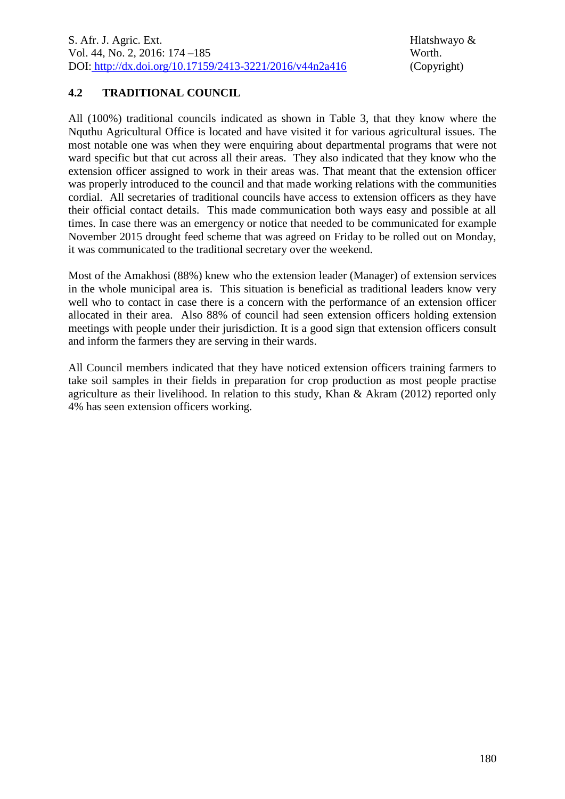# **4.2 TRADITIONAL COUNCIL**

All (100%) traditional councils indicated as shown in Table 3, that they know where the Nquthu Agricultural Office is located and have visited it for various agricultural issues. The most notable one was when they were enquiring about departmental programs that were not ward specific but that cut across all their areas. They also indicated that they know who the extension officer assigned to work in their areas was. That meant that the extension officer was properly introduced to the council and that made working relations with the communities cordial. All secretaries of traditional councils have access to extension officers as they have their official contact details. This made communication both ways easy and possible at all times. In case there was an emergency or notice that needed to be communicated for example November 2015 drought feed scheme that was agreed on Friday to be rolled out on Monday, it was communicated to the traditional secretary over the weekend.

Most of the Amakhosi (88%) knew who the extension leader (Manager) of extension services in the whole municipal area is. This situation is beneficial as traditional leaders know very well who to contact in case there is a concern with the performance of an extension officer allocated in their area. Also 88% of council had seen extension officers holding extension meetings with people under their jurisdiction. It is a good sign that extension officers consult and inform the farmers they are serving in their wards.

All Council members indicated that they have noticed extension officers training farmers to take soil samples in their fields in preparation for crop production as most people practise agriculture as their livelihood. In relation to this study, Khan & Akram (2012) reported only 4% has seen extension officers working.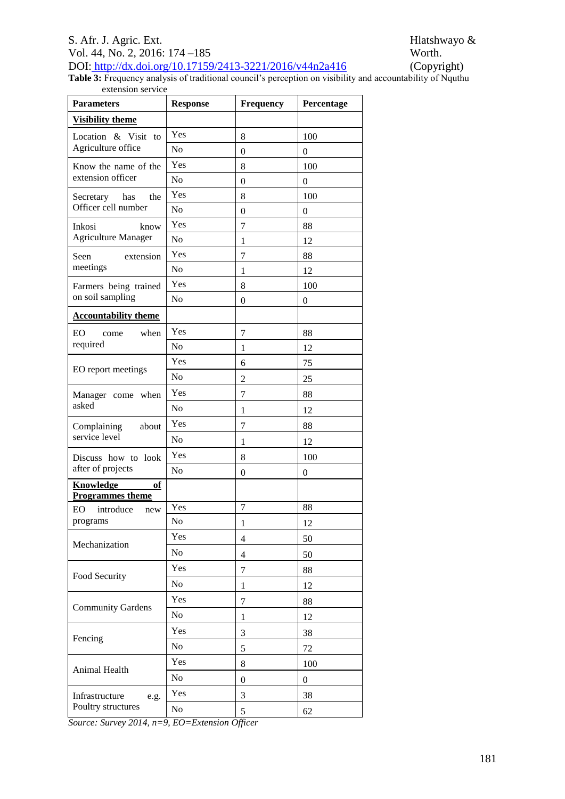#### S. Afr. J. Agric. Ext. Hlatshwayo & Vol. 44, No. 2, 2016: 174 –185 Worth.<br>DOI: http://dx.doi.org/10.17159/2413-3221/2016/v44n2a416 (Copyright) DOI: http://dx.doi.org/10.17159/2413-3221/2016/v44n2a416

**Table 3:** Frequency analysis of traditional council's perception on visibility and accountability of Nquthu extension service

| <b>Visibility theme</b><br>Yes<br>Location & Visit to<br>8<br>100<br>Agriculture office<br>N <sub>o</sub><br>$\overline{0}$<br>$\overline{0}$<br>Yes<br>8<br>100<br>Know the name of the<br>extension officer<br>N <sub>o</sub><br>$\overline{0}$<br>$\theta$<br>Yes<br>8<br>100<br>the<br>Secretary has<br>Officer cell number<br>N <sub>o</sub><br>$\boldsymbol{0}$<br>$\boldsymbol{0}$<br>Yes<br>$\overline{7}$<br>88<br>Inkosi<br>know<br><b>Agriculture Manager</b><br>N <sub>o</sub><br>12<br>$\mathbf{1}$<br>Yes<br>$\tau$<br>88<br>Seen<br>extension<br>meetings<br>N <sub>o</sub><br>12<br>1<br>Yes<br>100<br>8<br>Farmers being trained<br>on soil sampling<br>N <sub>o</sub><br>$\overline{0}$<br>$\boldsymbol{0}$<br><b>Accountability theme</b><br>Yes<br>EO<br>when<br>7<br>88<br>come<br>required<br>N <sub>0</sub><br>$\mathbf{1}$<br>12<br>Yes<br>75<br>6<br>EO report meetings<br>N <sub>o</sub><br>$\overline{c}$<br>25<br>Yes<br>$\overline{7}$<br>88<br>when<br>Manager come<br>asked<br>N <sub>o</sub><br>$\mathbf{1}$<br>12<br>Yes<br>$\overline{7}$<br>88<br>Complaining<br>about<br>service level<br>N <sub>o</sub><br>12<br>1<br>Yes<br>8<br>100<br>Discuss how to look<br>after of projects<br>N <sub>o</sub><br>$\overline{0}$<br>$\theta$<br>Knowledge<br>of<br><b>Programmes theme</b><br>$\tau$<br>88<br>Yes<br><b>EO</b><br>introduce<br>new<br>N <sub>0</sub><br>programs<br>12<br>1<br>Yes<br>50<br>$\overline{4}$<br>Mechanization<br>No<br>$\overline{4}$<br>50<br>Yes<br>7<br>88<br>Food Security<br>No<br>12<br>$\mathbf{1}$<br>Yes<br>7<br>88<br><b>Community Gardens</b><br>N <sub>o</sub><br>12<br>$\mathbf{1}$ | <b>Parameters</b> | <b>Response</b> | <b>Frequency</b> | Percentage |
|----------------------------------------------------------------------------------------------------------------------------------------------------------------------------------------------------------------------------------------------------------------------------------------------------------------------------------------------------------------------------------------------------------------------------------------------------------------------------------------------------------------------------------------------------------------------------------------------------------------------------------------------------------------------------------------------------------------------------------------------------------------------------------------------------------------------------------------------------------------------------------------------------------------------------------------------------------------------------------------------------------------------------------------------------------------------------------------------------------------------------------------------------------------------------------------------------------------------------------------------------------------------------------------------------------------------------------------------------------------------------------------------------------------------------------------------------------------------------------------------------------------------------------------------------------------------------------------------------------------------------------------------------------|-------------------|-----------------|------------------|------------|
|                                                                                                                                                                                                                                                                                                                                                                                                                                                                                                                                                                                                                                                                                                                                                                                                                                                                                                                                                                                                                                                                                                                                                                                                                                                                                                                                                                                                                                                                                                                                                                                                                                                          |                   |                 |                  |            |
|                                                                                                                                                                                                                                                                                                                                                                                                                                                                                                                                                                                                                                                                                                                                                                                                                                                                                                                                                                                                                                                                                                                                                                                                                                                                                                                                                                                                                                                                                                                                                                                                                                                          |                   |                 |                  |            |
|                                                                                                                                                                                                                                                                                                                                                                                                                                                                                                                                                                                                                                                                                                                                                                                                                                                                                                                                                                                                                                                                                                                                                                                                                                                                                                                                                                                                                                                                                                                                                                                                                                                          |                   |                 |                  |            |
|                                                                                                                                                                                                                                                                                                                                                                                                                                                                                                                                                                                                                                                                                                                                                                                                                                                                                                                                                                                                                                                                                                                                                                                                                                                                                                                                                                                                                                                                                                                                                                                                                                                          |                   |                 |                  |            |
|                                                                                                                                                                                                                                                                                                                                                                                                                                                                                                                                                                                                                                                                                                                                                                                                                                                                                                                                                                                                                                                                                                                                                                                                                                                                                                                                                                                                                                                                                                                                                                                                                                                          |                   |                 |                  |            |
|                                                                                                                                                                                                                                                                                                                                                                                                                                                                                                                                                                                                                                                                                                                                                                                                                                                                                                                                                                                                                                                                                                                                                                                                                                                                                                                                                                                                                                                                                                                                                                                                                                                          |                   |                 |                  |            |
|                                                                                                                                                                                                                                                                                                                                                                                                                                                                                                                                                                                                                                                                                                                                                                                                                                                                                                                                                                                                                                                                                                                                                                                                                                                                                                                                                                                                                                                                                                                                                                                                                                                          |                   |                 |                  |            |
|                                                                                                                                                                                                                                                                                                                                                                                                                                                                                                                                                                                                                                                                                                                                                                                                                                                                                                                                                                                                                                                                                                                                                                                                                                                                                                                                                                                                                                                                                                                                                                                                                                                          |                   |                 |                  |            |
|                                                                                                                                                                                                                                                                                                                                                                                                                                                                                                                                                                                                                                                                                                                                                                                                                                                                                                                                                                                                                                                                                                                                                                                                                                                                                                                                                                                                                                                                                                                                                                                                                                                          |                   |                 |                  |            |
|                                                                                                                                                                                                                                                                                                                                                                                                                                                                                                                                                                                                                                                                                                                                                                                                                                                                                                                                                                                                                                                                                                                                                                                                                                                                                                                                                                                                                                                                                                                                                                                                                                                          |                   |                 |                  |            |
|                                                                                                                                                                                                                                                                                                                                                                                                                                                                                                                                                                                                                                                                                                                                                                                                                                                                                                                                                                                                                                                                                                                                                                                                                                                                                                                                                                                                                                                                                                                                                                                                                                                          |                   |                 |                  |            |
|                                                                                                                                                                                                                                                                                                                                                                                                                                                                                                                                                                                                                                                                                                                                                                                                                                                                                                                                                                                                                                                                                                                                                                                                                                                                                                                                                                                                                                                                                                                                                                                                                                                          |                   |                 |                  |            |
|                                                                                                                                                                                                                                                                                                                                                                                                                                                                                                                                                                                                                                                                                                                                                                                                                                                                                                                                                                                                                                                                                                                                                                                                                                                                                                                                                                                                                                                                                                                                                                                                                                                          |                   |                 |                  |            |
|                                                                                                                                                                                                                                                                                                                                                                                                                                                                                                                                                                                                                                                                                                                                                                                                                                                                                                                                                                                                                                                                                                                                                                                                                                                                                                                                                                                                                                                                                                                                                                                                                                                          |                   |                 |                  |            |
|                                                                                                                                                                                                                                                                                                                                                                                                                                                                                                                                                                                                                                                                                                                                                                                                                                                                                                                                                                                                                                                                                                                                                                                                                                                                                                                                                                                                                                                                                                                                                                                                                                                          |                   |                 |                  |            |
|                                                                                                                                                                                                                                                                                                                                                                                                                                                                                                                                                                                                                                                                                                                                                                                                                                                                                                                                                                                                                                                                                                                                                                                                                                                                                                                                                                                                                                                                                                                                                                                                                                                          |                   |                 |                  |            |
|                                                                                                                                                                                                                                                                                                                                                                                                                                                                                                                                                                                                                                                                                                                                                                                                                                                                                                                                                                                                                                                                                                                                                                                                                                                                                                                                                                                                                                                                                                                                                                                                                                                          |                   |                 |                  |            |
|                                                                                                                                                                                                                                                                                                                                                                                                                                                                                                                                                                                                                                                                                                                                                                                                                                                                                                                                                                                                                                                                                                                                                                                                                                                                                                                                                                                                                                                                                                                                                                                                                                                          |                   |                 |                  |            |
|                                                                                                                                                                                                                                                                                                                                                                                                                                                                                                                                                                                                                                                                                                                                                                                                                                                                                                                                                                                                                                                                                                                                                                                                                                                                                                                                                                                                                                                                                                                                                                                                                                                          |                   |                 |                  |            |
|                                                                                                                                                                                                                                                                                                                                                                                                                                                                                                                                                                                                                                                                                                                                                                                                                                                                                                                                                                                                                                                                                                                                                                                                                                                                                                                                                                                                                                                                                                                                                                                                                                                          |                   |                 |                  |            |
|                                                                                                                                                                                                                                                                                                                                                                                                                                                                                                                                                                                                                                                                                                                                                                                                                                                                                                                                                                                                                                                                                                                                                                                                                                                                                                                                                                                                                                                                                                                                                                                                                                                          |                   |                 |                  |            |
|                                                                                                                                                                                                                                                                                                                                                                                                                                                                                                                                                                                                                                                                                                                                                                                                                                                                                                                                                                                                                                                                                                                                                                                                                                                                                                                                                                                                                                                                                                                                                                                                                                                          |                   |                 |                  |            |
|                                                                                                                                                                                                                                                                                                                                                                                                                                                                                                                                                                                                                                                                                                                                                                                                                                                                                                                                                                                                                                                                                                                                                                                                                                                                                                                                                                                                                                                                                                                                                                                                                                                          |                   |                 |                  |            |
|                                                                                                                                                                                                                                                                                                                                                                                                                                                                                                                                                                                                                                                                                                                                                                                                                                                                                                                                                                                                                                                                                                                                                                                                                                                                                                                                                                                                                                                                                                                                                                                                                                                          |                   |                 |                  |            |
|                                                                                                                                                                                                                                                                                                                                                                                                                                                                                                                                                                                                                                                                                                                                                                                                                                                                                                                                                                                                                                                                                                                                                                                                                                                                                                                                                                                                                                                                                                                                                                                                                                                          |                   |                 |                  |            |
|                                                                                                                                                                                                                                                                                                                                                                                                                                                                                                                                                                                                                                                                                                                                                                                                                                                                                                                                                                                                                                                                                                                                                                                                                                                                                                                                                                                                                                                                                                                                                                                                                                                          |                   |                 |                  |            |
|                                                                                                                                                                                                                                                                                                                                                                                                                                                                                                                                                                                                                                                                                                                                                                                                                                                                                                                                                                                                                                                                                                                                                                                                                                                                                                                                                                                                                                                                                                                                                                                                                                                          |                   |                 |                  |            |
|                                                                                                                                                                                                                                                                                                                                                                                                                                                                                                                                                                                                                                                                                                                                                                                                                                                                                                                                                                                                                                                                                                                                                                                                                                                                                                                                                                                                                                                                                                                                                                                                                                                          |                   |                 |                  |            |
|                                                                                                                                                                                                                                                                                                                                                                                                                                                                                                                                                                                                                                                                                                                                                                                                                                                                                                                                                                                                                                                                                                                                                                                                                                                                                                                                                                                                                                                                                                                                                                                                                                                          |                   |                 |                  |            |
|                                                                                                                                                                                                                                                                                                                                                                                                                                                                                                                                                                                                                                                                                                                                                                                                                                                                                                                                                                                                                                                                                                                                                                                                                                                                                                                                                                                                                                                                                                                                                                                                                                                          |                   |                 |                  |            |
|                                                                                                                                                                                                                                                                                                                                                                                                                                                                                                                                                                                                                                                                                                                                                                                                                                                                                                                                                                                                                                                                                                                                                                                                                                                                                                                                                                                                                                                                                                                                                                                                                                                          |                   |                 |                  |            |
|                                                                                                                                                                                                                                                                                                                                                                                                                                                                                                                                                                                                                                                                                                                                                                                                                                                                                                                                                                                                                                                                                                                                                                                                                                                                                                                                                                                                                                                                                                                                                                                                                                                          |                   |                 |                  |            |
|                                                                                                                                                                                                                                                                                                                                                                                                                                                                                                                                                                                                                                                                                                                                                                                                                                                                                                                                                                                                                                                                                                                                                                                                                                                                                                                                                                                                                                                                                                                                                                                                                                                          |                   |                 |                  |            |
|                                                                                                                                                                                                                                                                                                                                                                                                                                                                                                                                                                                                                                                                                                                                                                                                                                                                                                                                                                                                                                                                                                                                                                                                                                                                                                                                                                                                                                                                                                                                                                                                                                                          | Fencing           | Yes             | 3                | 38         |
| N <sub>o</sub><br>72<br>5                                                                                                                                                                                                                                                                                                                                                                                                                                                                                                                                                                                                                                                                                                                                                                                                                                                                                                                                                                                                                                                                                                                                                                                                                                                                                                                                                                                                                                                                                                                                                                                                                                |                   |                 |                  |            |
| Yes<br>8<br>100                                                                                                                                                                                                                                                                                                                                                                                                                                                                                                                                                                                                                                                                                                                                                                                                                                                                                                                                                                                                                                                                                                                                                                                                                                                                                                                                                                                                                                                                                                                                                                                                                                          | Animal Health     |                 |                  |            |
| No<br>$\mathbf{0}$<br>$\theta$                                                                                                                                                                                                                                                                                                                                                                                                                                                                                                                                                                                                                                                                                                                                                                                                                                                                                                                                                                                                                                                                                                                                                                                                                                                                                                                                                                                                                                                                                                                                                                                                                           |                   |                 |                  |            |
| Yes<br>3<br>38<br>Infrastructure<br>e.g.                                                                                                                                                                                                                                                                                                                                                                                                                                                                                                                                                                                                                                                                                                                                                                                                                                                                                                                                                                                                                                                                                                                                                                                                                                                                                                                                                                                                                                                                                                                                                                                                                 |                   |                 |                  |            |
| Poultry structures<br>N <sub>o</sub><br>5<br>62                                                                                                                                                                                                                                                                                                                                                                                                                                                                                                                                                                                                                                                                                                                                                                                                                                                                                                                                                                                                                                                                                                                                                                                                                                                                                                                                                                                                                                                                                                                                                                                                          |                   |                 |                  |            |

*Source: Survey 2014, n=9, EO=Extension Officer*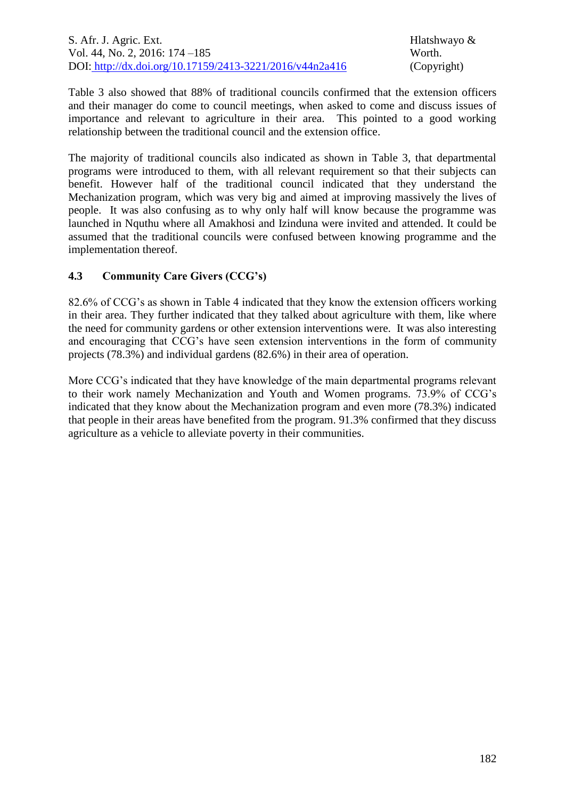Table 3 also showed that 88% of traditional councils confirmed that the extension officers and their manager do come to council meetings, when asked to come and discuss issues of importance and relevant to agriculture in their area. This pointed to a good working relationship between the traditional council and the extension office.

The majority of traditional councils also indicated as shown in Table 3, that departmental programs were introduced to them, with all relevant requirement so that their subjects can benefit. However half of the traditional council indicated that they understand the Mechanization program, which was very big and aimed at improving massively the lives of people. It was also confusing as to why only half will know because the programme was launched in Nquthu where all Amakhosi and Izinduna were invited and attended. It could be assumed that the traditional councils were confused between knowing programme and the implementation thereof.

## **4.3 Community Care Givers (CCG's)**

82.6% of CCG's as shown in Table 4 indicated that they know the extension officers working in their area. They further indicated that they talked about agriculture with them, like where the need for community gardens or other extension interventions were. It was also interesting and encouraging that CCG's have seen extension interventions in the form of community projects (78.3%) and individual gardens (82.6%) in their area of operation.

More CCG's indicated that they have knowledge of the main departmental programs relevant to their work namely Mechanization and Youth and Women programs. 73.9% of CCG's indicated that they know about the Mechanization program and even more (78.3%) indicated that people in their areas have benefited from the program. 91.3% confirmed that they discuss agriculture as a vehicle to alleviate poverty in their communities.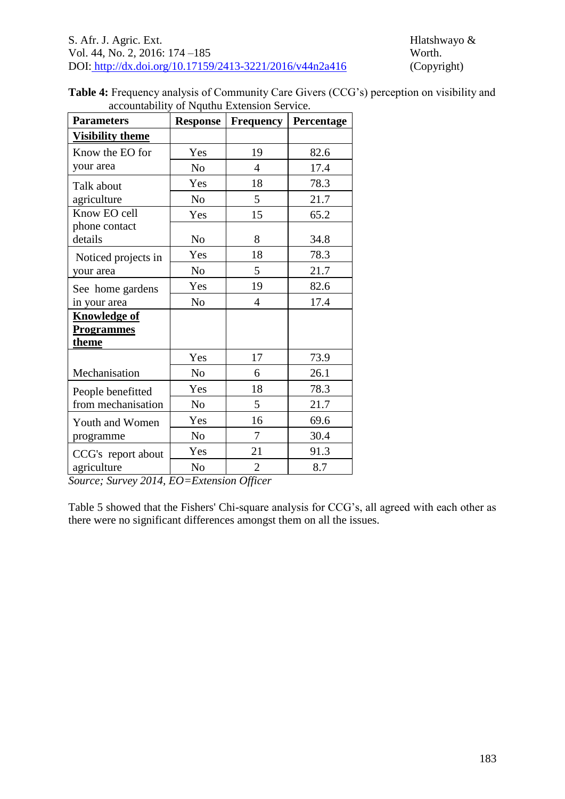| Table 4: Frequency analysis of Community Care Givers (CCG's) perception on visibility and |  |
|-------------------------------------------------------------------------------------------|--|
| accountability of Nguthu Extension Service.                                               |  |

| <b>Parameters</b>       | <b>Response</b> | <b>Frequency</b> | Percentage |
|-------------------------|-----------------|------------------|------------|
| <b>Visibility theme</b> |                 |                  |            |
| Know the EO for         | Yes             | 19               | 82.6       |
| your area               | No              | 4                | 17.4       |
| Talk about              | Yes             | 18               | 78.3       |
| agriculture             | N <sub>o</sub>  | 5                | 21.7       |
| Know EO cell            | Yes             | 15               | 65.2       |
| phone contact           |                 |                  |            |
| details                 | N <sub>o</sub>  | 8                | 34.8       |
| Noticed projects in     | Yes             | 18               | 78.3       |
| your area               | N <sub>o</sub>  | 5                | 21.7       |
| See home gardens        | Yes             | 19               | 82.6       |
| in your area            | No              | 4                | 17.4       |
| <b>Knowledge of</b>     |                 |                  |            |
| <b>Programmes</b>       |                 |                  |            |
| <u>theme</u>            |                 |                  |            |
|                         | Yes             | 17               | 73.9       |
| Mechanisation           | N <sub>o</sub>  | 6                | 26.1       |
| People benefitted       | Yes             | 18               | 78.3       |
| from mechanisation      | N <sub>o</sub>  | 5                | 21.7       |
| Youth and Women         | Yes             | 16               | 69.6       |
| programme               | N <sub>0</sub>  | 7                | 30.4       |
| CCG's report about      | Yes             | 21               | 91.3       |
| agriculture             | N <sub>o</sub>  | $\overline{2}$   | 8.7        |

*Source; Survey 2014, EO=Extension Officer*

Table 5 showed that the Fishers' Chi-square analysis for CCG's, all agreed with each other as there were no significant differences amongst them on all the issues.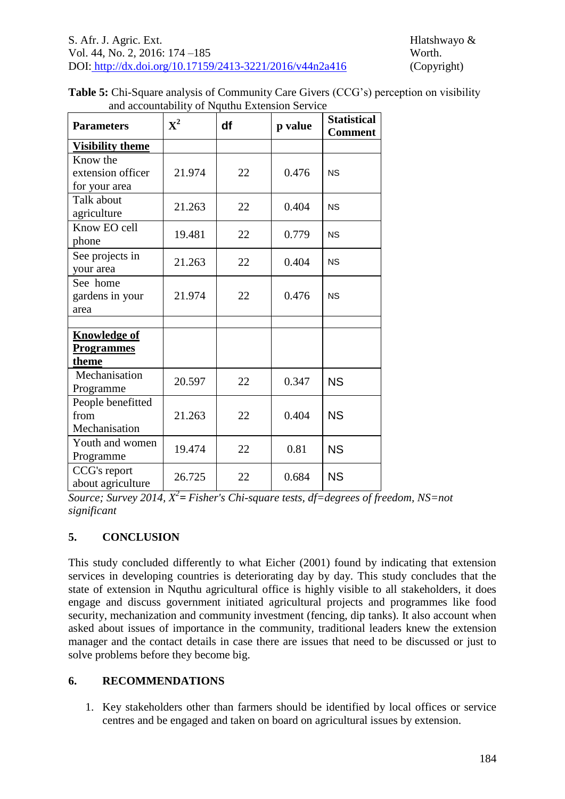| <b>Table 5:</b> Chi-Square analysis of Community Care Givers (CCG's) perception on visibility |
|-----------------------------------------------------------------------------------------------|
| and accountability of Nguthu Extension Service                                                |

| <b>Parameters</b>       | $\mathbf{X}^2$ | df | p value | <b>Statistical</b><br><b>Comment</b> |
|-------------------------|----------------|----|---------|--------------------------------------|
| <b>Visibility theme</b> |                |    |         |                                      |
| Know the                |                |    |         |                                      |
| extension officer       | 21.974         | 22 | 0.476   | <b>NS</b>                            |
| for your area           |                |    |         |                                      |
| Talk about              | 21.263         | 22 | 0.404   | <b>NS</b>                            |
| agriculture             |                |    |         |                                      |
| Know EO cell            | 19.481         | 22 | 0.779   | <b>NS</b>                            |
| phone                   |                |    |         |                                      |
| See projects in         | 21.263         | 22 | 0.404   | <b>NS</b>                            |
| your area               |                |    |         |                                      |
| See home                |                |    |         |                                      |
| gardens in your         | 21.974         | 22 | 0.476   | <b>NS</b>                            |
| area                    |                |    |         |                                      |
|                         |                |    |         |                                      |
| <b>Knowledge of</b>     |                |    |         |                                      |
| <b>Programmes</b>       |                |    |         |                                      |
| theme                   |                |    |         |                                      |
| Mechanisation           | 20.597         | 22 | 0.347   | <b>NS</b>                            |
| Programme               |                |    |         |                                      |
| People benefitted       |                |    |         |                                      |
| from                    | 21.263         | 22 | 0.404   | <b>NS</b>                            |
| Mechanisation           |                |    |         |                                      |
| Youth and women         | 19.474         | 22 | 0.81    | <b>NS</b>                            |
| Programme               |                |    |         |                                      |
| CCG's report            | 26.725         | 22 | 0.684   | <b>NS</b>                            |
| about agriculture       |                |    |         |                                      |

*Source; Survey 2014, X 2 = Fisher's Chi-square tests, df=degrees of freedom, NS=not significant*

# **5. CONCLUSION**

This study concluded differently to what Eicher (2001) found by indicating that extension services in developing countries is deteriorating day by day. This study concludes that the state of extension in Nquthu agricultural office is highly visible to all stakeholders, it does engage and discuss government initiated agricultural projects and programmes like food security, mechanization and community investment (fencing, dip tanks). It also account when asked about issues of importance in the community, traditional leaders knew the extension manager and the contact details in case there are issues that need to be discussed or just to solve problems before they become big.

# **6. RECOMMENDATIONS**

1. Key stakeholders other than farmers should be identified by local offices or service centres and be engaged and taken on board on agricultural issues by extension.